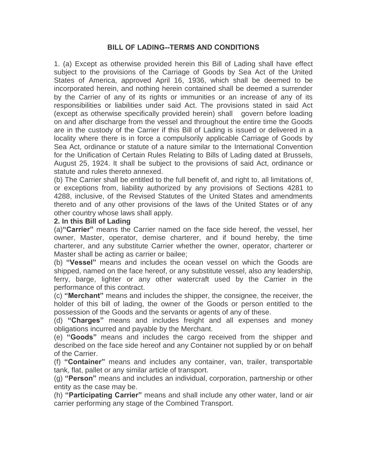## **BILL OF LADING--TERMS AND CONDITIONS**

1. (a) Except as otherwise provided herein this Bill of Lading shall have effect subject to the provisions of the Carriage of Goods by Sea Act of the United States of America, approved April 16, 1936, which shall be deemed to be incorporated herein, and nothing herein contained shall be deemed a surrender by the Carrier of any of its rights or immunities or an increase of any of its responsibilities or liabilities under said Act. The provisions stated in said Act (except as otherwise specifically provided herein) shall govern before loading on and after discharge from the vessel and throughout the entire time the Goods are in the custody of the Carrier if this Bill of Lading is issued or delivered in a locality where there is in force a compulsorily applicable Carriage of Goods by Sea Act, ordinance or statute of a nature similar to the International Convention for the Unification of Certain Rules Relating to Bills of Lading dated at Brussels, August 25, 1924. It shall be subject to the provisions of said Act, ordinance or statute and rules thereto annexed.

(b) The Carrier shall be entitled to the full benefit of, and right to, all limitations of, or exceptions from, liability authorized by any provisions of Sections 4281 to 4288, inclusive, of the Revised Statutes of the United States and amendments thereto and of any other provisions of the laws of the United States or of any other country whose laws shall apply.

## **2. In this Bill of Lading**

(a)**"Carrier"** means the Carrier named on the face side hereof, the vessel, her owner, Master, operator, demise charterer, and if bound hereby, the time charterer, and any substitute Carrier whether the owner, operator, charterer or Master shall be acting as carrier or bailee;

(b) **"Vessel"** means and includes the ocean vessel on which the Goods are shipped, named on the face hereof, or any substitute vessel, also any leadership, ferry, barge, lighter or any other watercraft used by the Carrier in the performance of this contract.

(c) **"Merchant"** means and includes the shipper, the consignee, the receiver, the holder of this bill of lading, the owner of the Goods or person entitled to the possession of the Goods and the servants or agents of any of these.

(d) **"Charges"** means and includes freight and all expenses and money obligations incurred and payable by the Merchant.

(e) **"Goods"** means and includes the cargo received from the shipper and described on the face side hereof and any Container not supplied by or on behalf of the Carrier.

(f) **"Container"** means and includes any container, van, trailer, transportable tank, flat, pallet or any similar article of transport.

(g) **"Person"** means and includes an individual, corporation, partnership or other entity as the case may be.

(h) **"Participating Carrier"** means and shall include any other water, land or air carrier performing any stage of the Combined Transport.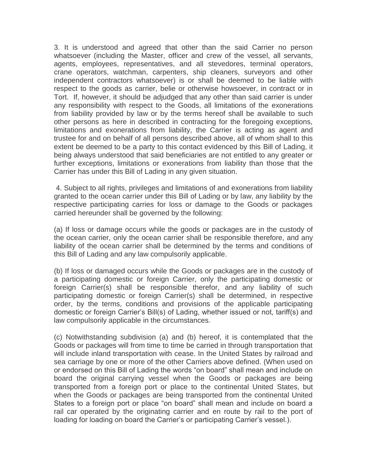3. It is understood and agreed that other than the said Carrier no person whatsoever (including the Master, officer and crew of the vessel, all servants, agents, employees, representatives, and all stevedores, terminal operators, crane operators, watchman, carpenters, ship cleaners, surveyors and other independent contractors whatsoever) is or shall be deemed to be liable with respect to the goods as carrier, belie or otherwise howsoever, in contract or in Tort. If, however, it should be adjudged that any other than said carrier is under any responsibility with respect to the Goods, all limitations of the exonerations from liability provided by law or by the terms hereof shall be available to such other persons as here in described in contracting for the foregoing exceptions, limitations and exonerations from liability, the Carrier is acting as agent and trustee for and on behalf of all persons described above, all of whom shall to this extent be deemed to be a party to this contact evidenced by this Bill of Lading, it being always understood that said beneficiaries are not entitled to any greater or further exceptions, limitations or exonerations from liability than those that the Carrier has under this Bill of Lading in any given situation.

4. Subject to all rights, privileges and limitations of and exonerations from liability granted to the ocean carrier under this Bill of Lading or by law, any liability by the respective participating carries for loss or damage to the Goods or packages carried hereunder shall be governed by the following:

(a) If loss or damage occurs while the goods or packages are in the custody of the ocean carrier, only the ocean carrier shall be responsible therefore, and any liability of the ocean carrier shall be determined by the terms and conditions of this Bill of Lading and any law compulsorily applicable.

(b) If loss or damaged occurs while the Goods or packages are in the custody of a participating domestic or foreign Carrier, only the participating domestic or foreign Carrier(s) shall be responsible therefor, and any liability of such participating domestic or foreign Carrier(s) shall be determined, in respective order, by the terms, conditions and provisions of the applicable participating domestic or foreign Carrier's Bill(s) of Lading, whether issued or not, tariff(s) and law compulsorily applicable in the circumstances.

(c) Notwithstanding subdivision (a) and (b) hereof, it is contemplated that the Goods or packages will from time to time be carried in through transportation that will include inland transportation with cease. In the United States by railroad and sea carriage by one or more of the other Carriers above defined. (When used on or endorsed on this Bill of Lading the words "on board" shall mean and include on board the original carrying vessel when the Goods or packages are being transported from a foreign port or place to the continental United States, but when the Goods or packages are being transported from the continental United States to a foreign port or place "on board" shall mean and include on board a rail car operated by the originating carrier and en route by rail to the port of loading for loading on board the Carrier's or participating Carrier's vessel.).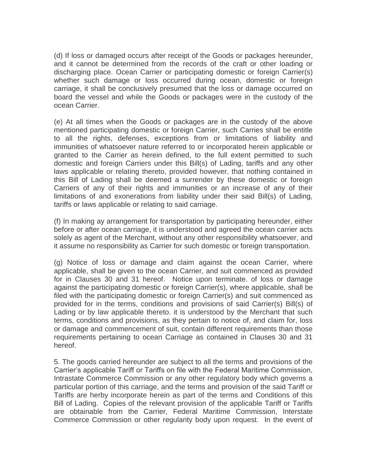(d) If loss or damaged occurs after receipt of the Goods or packages hereunder, and it cannot be determined from the records of the craft or other loading or discharging place. Ocean Carrier or participating domestic or foreign Carrier(s) whether such damage or loss occurred during ocean, domestic or foreign carriage, it shall be conclusively presumed that the loss or damage occurred on board the vessel and while the Goods or packages were in the custody of the ocean Carrier.

(e) At all times when the Goods or packages are in the custody of the above mentioned participating domestic or foreign Carrier, such Carries shall be entitle to all the rights, defenses, exceptions from or limitations of liability and immunities of whatsoever nature referred to or incorporated herein applicable or granted to the Carrier as herein defined, to the full extent permitted to such domestic and foreign Carriers under this Bill(s) of Lading, tariffs and any other laws applicable or relating thereto, provided however, that nothing contained in this Bill of Lading shall be deemed a surrender by these domestic or foreign Carriers of any of their rights and immunities or an increase of any of their limitations of and exonerations from liability under their said Bill(s) of Lading, tariffs or laws applicable or relating to said carriage.

(f) In making ay arrangement for transportation by participating hereunder, either before or after ocean carriage, it is understood and agreed the ocean carrier acts solely as agent of the Merchant, without any other responsibility whatsoever, and it assume no responsibility as Carrier for such domestic or foreign transportation.

(g) Notice of loss or damage and claim against the ocean Carrier, where applicable, shall be given to the ocean Carrier, and suit commenced as provided for in Clauses 30 and 31 hereof. Notice upon terminate. of loss or damage against the participating domestic or foreign Carrier(s), where applicable, shall be filed with the participating domestic or foreign Carrier(s) and suit commenced as provided for in the terms, conditions and provisions of said Carrier(s) Bill(s) of Lading or by law applicable thereto. it is understood by the Merchant that such terms, conditions and provisions, as they pertain to notice of, and claim for, loss or damage and commencement of suit, contain different requirements than those requirements pertaining to ocean Carriage as contained in Clauses 30 and 31 hereof.

5. The goods carried hereunder are subject to all the terms and provisions of the Carrier's applicable Tariff or Tariffs on file with the Federal Maritime Commission, Intrastate Commerce Commission or any other regulatory body which governs a particular portion of this carriage, and the terms and provision of the said Tariff or Tariffs are herby incorporate herein as part of the terms and Conditions of this Bill of Lading. Copies of the relevant provision of the applicable Tariff or Tariffs are obtainable from the Carrier, Federal Maritime Commission, Interstate Commerce Commission or other regularity body upon request. In the event of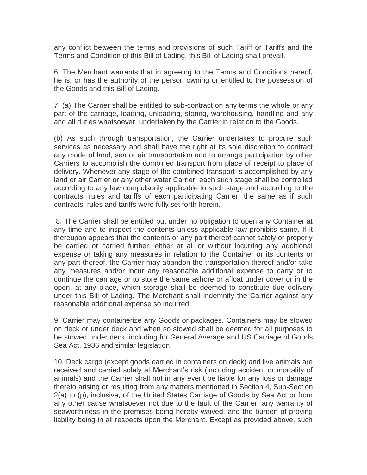any conflict between the terms and provisions of such Tariff or Tariffs and the Terms and Condition of this Bill of Lading, this Bill of Lading shall prevail.

6. The Merchant warrants that in agreeing to the Terms and Conditions hereof, he is, or has the authority of the person owning or entitled to the possession of the Goods and this Bill of Lading.

7. (a) The Carrier shall be entitled to sub-contract on any terms the whole or any part of the carriage, loading, unloading, storing, warehousing, handling and any and all duties whatsoever undertaken by the Carrier in relation to the Goods.

(b) As such through transportation, the Carrier undertakes to procure such services as necessary and shall have the right at its sole discretion to contract any mode of land, sea or air transportation and to arrange participation by other Carriers to accomplish the combined transport from place of receipt to place of delivery. Whenever any stage of the combined transport is accomplished by any land or air Carrier or any other water Carrier, each such stage shall be controlled according to any law compulsorily applicable to such stage and according to the contracts, rules and tariffs of each participating Carrier, the same as if such contracts, rules and tariffs were fully set forth herein.

8. The Carrier shall be entitled but under no obligation to open any Container at any time and to inspect the contents unless applicable law prohibits same. If it thereupon appears that the contents or any part thereof cannot safely or properly be carried or carried further, either at all or without incurring any additional expense or taking any measures in relation to the Container or its contents or any part thereof, the Carrier may abandon the transportation thereof and/or take any measures and/or incur any reasonable additional expense to carry or to continue the carriage or to store the same ashore or afloat under cover or in the open, at any place, which storage shall be deemed to constitute due delivery under this Bill of Lading. The Merchant shall indemnify the Carrier against any reasonable additional expense so incurred.

9. Carrier may containerize any Goods or packages. Containers may be stowed on deck or under deck and when so stowed shall be deemed for all purposes to be stowed under deck, including for General Average and US Carriage of Goods Sea Act, 1936 and similar legislation.

10. Deck cargo (except goods carried in containers on deck) and live animals are received and carried solely at Merchant's risk (including accident or mortality of animals) and the Carrier shall not in any event be liable for any loss or damage thereto arising or resulting from any matters mentioned in Section 4, Sub-Section 2(a) to (p), inclusive, of the United States Carriage of Goods by Sea Act or from any other cause whatsoever not due to the fault of the Carrier, any warranty of seaworthiness in the premises being hereby waived, and the burden of proving liability being in all respects upon the Merchant. Except as provided above, such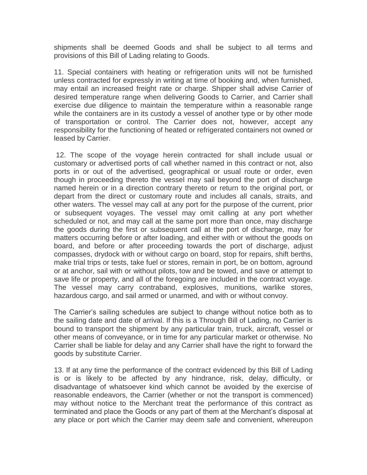shipments shall be deemed Goods and shall be subject to all terms and provisions of this Bill of Lading relating to Goods.

11. Special containers with heating or refrigeration units will not be furnished unless contracted for expressly in writing at time of booking and, when furnished, may entail an increased freight rate or charge. Shipper shall advise Carrier of desired temperature range when delivering Goods to Carrier, and Carrier shall exercise due diligence to maintain the temperature within a reasonable range while the containers are in its custody a vessel of another type or by other mode of transportation or control. The Carrier does not, however, accept any responsibility for the functioning of heated or refrigerated containers not owned or leased by Carrier.

12. The scope of the voyage herein contracted for shall include usual or customary or advertised ports of call whether named in this contract or not, also ports in or out of the advertised, geographical or usual route or order, even though in proceeding thereto the vessel may sail beyond the port of discharge named herein or in a direction contrary thereto or return to the original port, or depart from the direct or customary route and includes all canals, straits, and other waters. The vessel may call at any port for the purpose of the current, prior or subsequent voyages. The vessel may omit calling at any port whether scheduled or not, and may call at the same port more than once, may discharge the goods during the first or subsequent call at the port of discharge, may for matters occurring before or after loading, and either with or without the goods on board, and before or after proceeding towards the port of discharge, adjust compasses, drydock with or without cargo on board, stop for repairs, shift berths, make trial trips or tests, take fuel or stores, remain in port, be on bottom, aground or at anchor, sail with or without pilots, tow and be towed, and save or attempt to save life or property, and all of the foregoing are included in the contract voyage. The vessel may carry contraband, explosives, munitions, warlike stores, hazardous cargo, and sail armed or unarmed, and with or without convoy.

The Carrier's sailing schedules are subject to change without notice both as to the sailing date and date of arrival. If this is a Through Bill of Lading, no Carrier is bound to transport the shipment by any particular train, truck, aircraft, vessel or other means of conveyance, or in time for any particular market or otherwise. No Carrier shall be liable for delay and any Carrier shall have the right to forward the goods by substitute Carrier.

13. If at any time the performance of the contract evidenced by this Bill of Lading is or is likely to be affected by any hindrance, risk, delay, difficulty, or disadvantage of whatsoever kind which cannot be avoided by the exercise of reasonable endeavors, the Carrier (whether or not the transport is commenced) may without notice to the Merchant treat the performance of this contract as terminated and place the Goods or any part of them at the Merchant's disposal at any place or port which the Carrier may deem safe and convenient, whereupon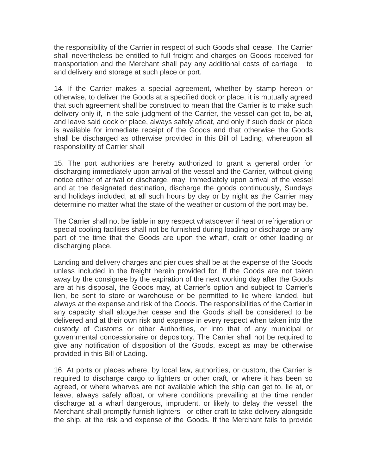the responsibility of the Carrier in respect of such Goods shall cease. The Carrier shall nevertheless be entitled to full freight and charges on Goods received for transportation and the Merchant shall pay any additional costs of carriage to and delivery and storage at such place or port.

14. If the Carrier makes a special agreement, whether by stamp hereon or otherwise, to deliver the Goods at a specified dock or place, it is mutually agreed that such agreement shall be construed to mean that the Carrier is to make such delivery only if, in the sole judgment of the Carrier, the vessel can get to, be at, and leave said dock or place, always safely afloat, and only if such dock or place is available for immediate receipt of the Goods and that otherwise the Goods shall be discharged as otherwise provided in this Bill of Lading, whereupon all responsibility of Carrier shall

15. The port authorities are hereby authorized to grant a general order for discharging immediately upon arrival of the vessel and the Carrier, without giving notice either of arrival or discharge, may, immediately upon arrival of the vessel and at the designated destination, discharge the goods continuously, Sundays and holidays included, at all such hours by day or by night as the Carrier may determine no matter what the state of the weather or custom of the port may be.

The Carrier shall not be liable in any respect whatsoever if heat or refrigeration or special cooling facilities shall not be furnished during loading or discharge or any part of the time that the Goods are upon the wharf, craft or other loading or discharging place.

Landing and delivery charges and pier dues shall be at the expense of the Goods unless included in the freight herein provided for. If the Goods are not taken away by the consignee by the expiration of the next working day after the Goods are at his disposal, the Goods may, at Carrier's option and subject to Carrier's lien, be sent to store or warehouse or be permitted to lie where landed, but always at the expense and risk of the Goods. The responsibilities of the Carrier in any capacity shall altogether cease and the Goods shall be considered to be delivered and at their own risk and expense in every respect when taken into the custody of Customs or other Authorities, or into that of any municipal or governmental concessionaire or depository. The Carrier shall not be required to give any notification of disposition of the Goods, except as may be otherwise provided in this Bill of Lading.

16. At ports or places where, by local law, authorities, or custom, the Carrier is required to discharge cargo to lighters or other craft, or where it has been so agreed, or where wharves are not available which the ship can get to, lie at, or leave, always safely afloat, or where conditions prevailing at the time render discharge at a wharf dangerous, imprudent, or likely to delay the vessel, the Merchant shall promptly furnish lighters or other craft to take delivery alongside the ship, at the risk and expense of the Goods. If the Merchant fails to provide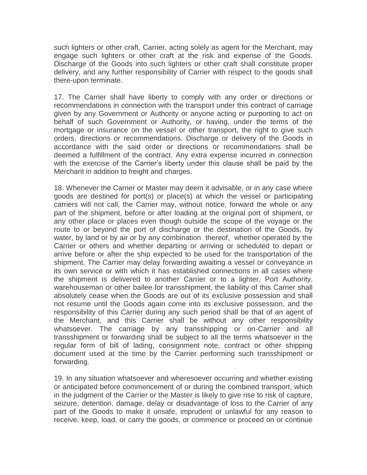such lighters or other craft, Carrier, acting solely as agent for the Merchant, may engage such lighters or other craft at the risk and expense of the Goods. Discharge of the Goods into such lighters or other craft shall constitute proper delivery, and any further responsibility of Carrier with respect to the goods shall there-upon terminate.

17. The Carrier shall have liberty to comply with any order or directions or recommendations in connection with the transport under this contract of carriage given by any Government or Authority or anyone acting or purporting to act on behalf of such Government or Authority, or having, under the terms of the mortgage or insurance on the vessel or other transport, the right to give such orders, directions or recommendations. Discharge or delivery of the Goods in accordance with the said order or directions or recommendations shall be deemed a fulfillment of the contract. Any extra expense incurred in connection with the exercise of the Carrier's liberty under this clause shall be paid by the Merchant in addition to freight and charges.

18. Whenever the Carrier or Master may deem it advisable, or in any case where goods are destined for port(s) or place(s) at which the vessel or participating carriers will not call, the Carrier may, without notice, forward the whole or any part of the shipment, before or after loading at the original port of shipment, or any other place or places even though outside the scope of the voyage or the route to or beyond the port of discharge or the destination of the Goods, by water, by land or by air or by any combination thereof, whether operated by the Carrier or others and whether departing or arriving or scheduled to depart or arrive before or after the ship expected to be used for the transportation of the shipment. The Carrier may delay forwarding awaiting a vessel or conveyance in its own service or with which it has established connections in all cases where the shipment is delivered to another Carrier or to a lighter, Port Authority, warehouseman or other bailee for transshipment, the liability of this Carrier shall absolutely cease when the Goods are out of its exclusive possession and shall not resume until the Goods again come into its exclusive possession, and the responsibility of this Carrier during any such period shall be that of an agent of the Merchant, and this Carrier shall be without any other responsibility whatsoever. The carriage by any transshipping or on-Carrier and all transshipment or forwarding shall be subject to all the terms whatsoever in the regular form of bill of lading, consignment note, contract or other shipping document used at the time by the Carrier performing such transshipment or forwarding.

19. In any situation whatsoever and wheresoever occurring and whether existing or anticipated before commencement of or during the combined transport, which in the judgment of the Carrier or the Master is likely to give rise to risk of capture, seizure, detention, damage, delay or disadvantage of loss to the Carrier of any part of the Goods to make it unsafe, imprudent or unlawful for any reason to receive, keep, load, or carry the goods, or commence or proceed on or continue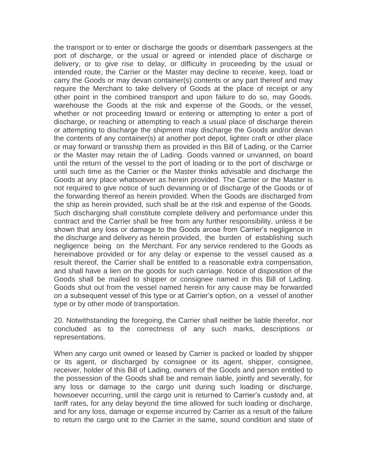the transport or to enter or discharge the goods or disembark passengers at the port of discharge, or the usual or agreed or intended place of discharge or delivery, or to give rise to delay, or difficulty in proceeding by the usual or intended route, the Carrier or the Master may decline to receive, keep, load or carry the Goods or may devan container(s) contents or any part thereof and may require the Merchant to take delivery of Goods at the place of receipt or any other point in the combined transport and upon failure to do so, may Goods. warehouse the Goods at the risk and expense of the Goods, or the vessel, whether or not proceeding toward or entering or attempting to enter a port of discharge, or reaching or attempting to reach a usual place of discharge therein or attempting to discharge the shipment may discharge the Goods and/or devan the contents of any container(s) at another port depot, lighter craft or other place or may forward or transship them as provided in this Bill of Lading, or the Carrier or the Master may retain the of Lading. Goods vanned or unvanned, on board until the return of the vessel to the port of loading or to the port of discharge or until such time as the Carrier or the Master thinks advisable and discharge the Goods at any place whatsoever as herein provided. The Carrier or the Master is not required to give notice of such devanning or of discharge of the Goods or of the forwarding thereof as herein provided. When the Goods are discharged from the ship as herein provided, such shall be at the risk and expense of the Goods. Such discharging shall constitute complete delivery and performance under this contract and the Carrier shall be free from any further responsibility, unless it be shown that any loss or damage to the Goods arose from Carrier's negligence in the discharge and delivery as herein provided, the burden of establishing such negligence being on the Merchant. For any service rendered to the Goods as hereinabove provided or for any delay or expense to the vessel caused as a result thereof, the Carrier shall be entitled to a reasonable extra compensation, and shall have a lien on the goods for such carriage. Notice of disposition of the Goods shall be mailed to shipper or consignee named in this Bill of Lading. Goods shut out from the vessel named herein for any cause may be forwarded on a subsequent vessel of this type or at Carrier's option, on a vessel of another type or by other mode of transportation.

20. Notwithstanding the foregoing, the Carrier shall neither be liable therefor, nor concluded as to the correctness of any such marks, descriptions or representations.

When any cargo unit owned or leased by Carrier is packed or loaded by shipper or its agent, or discharged by consignee or its agent, shipper, consignee, receiver, holder of this Bill of Lading, owners of the Goods and person entitled to the possession of the Goods shall be and remain liable, jointly and severally, for any loss or damage to the cargo unit during such loading or discharge, howsoever occurring, until the cargo unit is returned to Carrier's custody and, at tariff rates, for any delay beyond the time allowed for such loading or discharge, and for any loss, damage or expense incurred by Carrier as a result of the failure to return the cargo unit to the Carrier in the same, sound condition and state of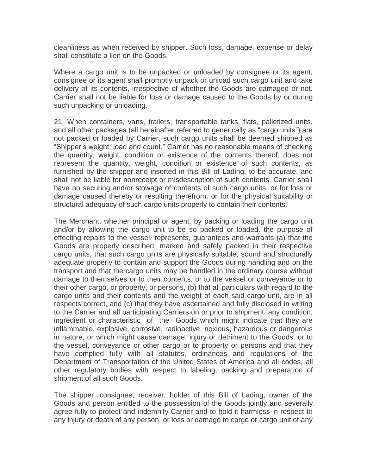cleanliness as when received by shipper. Such loss, damage, expense or delay shall constitute a lien on the Goods.

Where a cargo unit is to be unpacked or unloaded by consignee or its agent, consignee or its agent shall promptly unpack or unload such cargo unit and take delivery of its contents, irrespective of whether the Goods are damaged or not. Carrier shall not be liable for loss or damage caused to the Goods by or during such unpacking or unloading.

21. When containers, vans, trailers, transportable tanks, flats, palletized units, and all other packages (all hereinafter referred to generically as "cargo units") are not packed or loaded by Carrier, such cargo units shall be deemed shipped as "Shipper's weight, load and count." Carrier has no reasonable means of checking the quantity, weight, condition or existence of the contents thereof, does not represent the quantity, weight, condition or existence of such contents, as furnished by the shipper and inserted in this Bill of Lading, to be accurate, and shall not be liable for nonreceipt or misdescription of such contents. Carrier shall have no securing and/or stowage of contents of such cargo units, or for loss or damage caused thereby or resulting therefrom, or for the physical suitability or structural adequacy of such cargo units properly to contain their contents.

The Merchant, whether principal or agent, by packing or loading the cargo unit and/or by allowing the cargo unit to be so packed or loaded, the purpose of effecting repairs to the vessel. represents, guarantees and warrants (a) that the Goods are properly described, marked and safely packed in their respective cargo units, that such cargo units are physically suitable, sound and structurally adequate properly to contain and support the Goods during handling and on the transport and that the cargo units may be handled in the ordinary course without damage to themselves or to their contents, or to the vessel or conveyance or to their other cargo, or property, or persons, (b) that all particulars with regard to the cargo units and their contents and the weight of each said cargo unit, are in all respects correct, and (c) that they have ascertained and fully disclosed in writing to the Carrier and all participating Carriers on or prior to shipment, any condition, ingredient or characteristic of the Goods which might indicate that they are inflammable, explosive, corrosive, radioactive, noxious, hazardous or dangerous in nature, or which might cause damage, injury or detriment to the Goods, or to the vessel, conveyance or other cargo or to property or persons and that they have complied fully with all statutes, ordinances and regulations of the Department of Transportation of the United States of America and all codes, all other regulatory bodies with respect to labeling, packing and preparation of shipment of all such Goods.

The shipper, consignee, receiver, holder of this Bill of Lading, owner of the Goods and person entitled to the possession of the Goods jointly and severally agree fully to protect and indemnify Carrier and to hold it harmless in respect to any injury or death of any person, or loss or damage to cargo or cargo unit of any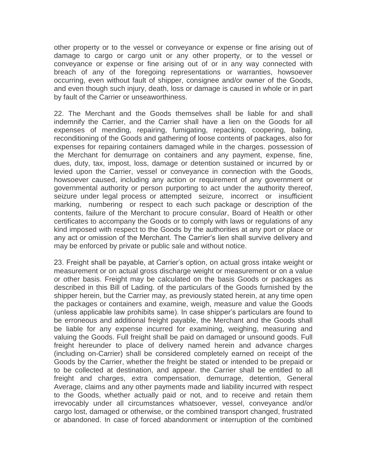other property or to the vessel or conveyance or expense or fine arising out of damage to cargo or cargo unit or any other property, or to the vessel or conveyance or expense or fine arising out of or in any way connected with breach of any of the foregoing representations or warranties, howsoever occurring, even without fault of shipper, consignee and/or owner of the Goods, and even though such injury, death, loss or damage is caused in whole or in part by fault of the Carrier or unseaworthiness.

22. The Merchant and the Goods themselves shall be liable for and shall indemnify the Carrier, and the Carrier shall have a lien on the Goods for all expenses of mending, repairing, fumigating, repacking, coopering, baling, reconditioning of the Goods and gathering of loose contents of packages, also for expenses for repairing containers damaged while in the charges. possession of the Merchant for demurrage on containers and any payment, expense, fine, dues, duty, tax, impost, loss, damage or detention sustained or incurred by or levied upon the Carrier, vessel or conveyance in connection with the Goods, howsoever caused, including any action or requirement of any government or governmental authority or person purporting to act under the authority thereof, seizure under legal process or attempted seizure, incorrect or insufficient marking, numbering or respect to each such package or description of the contents, failure of the Merchant to procure consular, Board of Health or other certificates to accompany the Goods or to comply with laws or regulations of any kind imposed with respect to the Goods by the authorities at any port or place or any act or omission of the Merchant. The Carrier's lien shall survive delivery and may be enforced by private or public sale and without notice.

23. Freight shall be payable, at Carrier's option, on actual gross intake weight or measurement or on actual gross discharge weight or measurement or on a value or other basis. Freight may be calculated on the basis Goods or packages as described in this Bill of Lading. of the particulars of the Goods furnished by the shipper herein, but the Carrier may, as previously stated herein, at any time open the packages or containers and examine, weigh, measure and value the Goods (unless applicable law prohibits same). In case shipper's particulars are found to be erroneous and additional freight payable, the Merchant and the Goods shall be liable for any expense incurred for examining, weighing, measuring and valuing the Goods. Full freight shall be paid on damaged or unsound goods. Full freight hereunder to place of delivery named herein and advance charges (including on-Carrier) shall be considered completely earned on receipt of the Goods by the Carrier, whether the freight be stated or intended to be prepaid or to be collected at destination, and appear. the Carrier shall be entitled to all freight and charges, extra compensation, demurrage, detention, General Average, claims and any other payments made and liability incurred with respect to the Goods, whether actually paid or not, and to receive and retain them irrevocably under all circumstances whatsoever, vessel, conveyance and/or cargo lost, damaged or otherwise, or the combined transport changed, frustrated or abandoned. In case of forced abandonment or interruption of the combined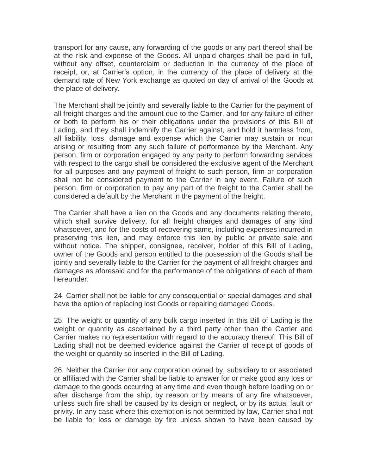transport for any cause, any forwarding of the goods or any part thereof shall be at the risk and expense of the Goods. All unpaid charges shall be paid in full, without any offset, counterclaim or deduction in the currency of the place of receipt, or, at Carrier's option, in the currency of the place of delivery at the demand rate of New York exchange as quoted on day of arrival of the Goods at the place of delivery.

The Merchant shall be jointly and severally liable to the Carrier for the payment of all freight charges and the amount due to the Carrier, and for any failure of either or both to perform his or their obligations under the provisions of this Bill of Lading, and they shall indemnify the Carrier against, and hold it harmless from, all liability, loss, damage and expense which the Carrier may sustain or incur arising or resulting from any such failure of performance by the Merchant. Any person, firm or corporation engaged by any party to perform forwarding services with respect to the cargo shall be considered the exclusive agent of the Merchant for all purposes and any payment of freight to such person, firm or corporation shall not be considered payment to the Carrier in any event. Failure of such person, firm or corporation to pay any part of the freight to the Carrier shall be considered a default by the Merchant in the payment of the freight.

The Carrier shall have a lien on the Goods and any documents relating thereto, which shall survive delivery, for all freight charges and damages of any kind whatsoever, and for the costs of recovering same, including expenses incurred in preserving this lien, and may enforce this lien by public or private sale and without notice. The shipper, consignee, receiver, holder of this Bill of Lading, owner of the Goods and person entitled to the possession of the Goods shall be jointly and severally liable to the Carrier for the payment of all freight charges and damages as aforesaid and for the performance of the obligations of each of them hereunder.

24. Carrier shall not be liable for any consequential or special damages and shall have the option of replacing lost Goods or repairing damaged Goods.

25. The weight or quantity of any bulk cargo inserted in this Bill of Lading is the weight or quantity as ascertained by a third party other than the Carrier and Carrier makes no representation with regard to the accuracy thereof. This Bill of Lading shall not be deemed evidence against the Carrier of receipt of goods of the weight or quantity so inserted in the Bill of Lading.

26. Neither the Carrier nor any corporation owned by, subsidiary to or associated or affiliated with the Carrier shall be liable to answer for or make good any loss or damage to the goods occurring at any time and even though before loading on or after discharge from the ship, by reason or by means of any fire whatsoever, unless such fire shall be caused by its design or neglect, or by its actual fault or privity. In any case where this exemption is not permitted by law, Carrier shall not be liable for loss or damage by fire unless shown to have been caused by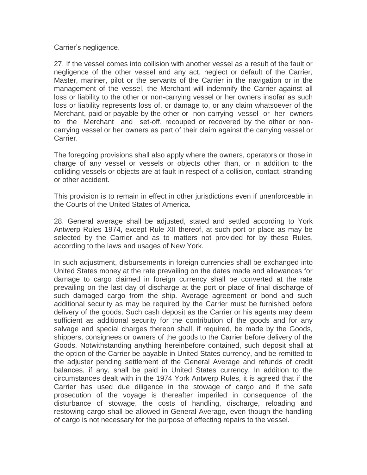Carrier's negligence.

27. If the vessel comes into collision with another vessel as a result of the fault or negligence of the other vessel and any act, neglect or default of the Carrier, Master, mariner, pilot or the servants of the Carrier in the navigation or in the management of the vessel, the Merchant will indemnify the Carrier against all loss or liability to the other or non-carrying vessel or her owners insofar as such loss or liability represents loss of, or damage to, or any claim whatsoever of the Merchant, paid or payable by the other or non-carrying vessel or her owners to the Merchant and set-off, recouped or recovered by the other or noncarrying vessel or her owners as part of their claim against the carrying vessel or Carrier.

The foregoing provisions shall also apply where the owners, operators or those in charge of any vessel or vessels or objects other than, or in addition to the colliding vessels or objects are at fault in respect of a collision, contact, stranding or other accident.

This provision is to remain in effect in other jurisdictions even if unenforceable in the Courts of the United States of America.

28. General average shall be adjusted, stated and settled according to York Antwerp Rules 1974, except Rule XII thereof, at such port or place as may be selected by the Carrier and as to matters not provided for by these Rules, according to the laws and usages of New York.

In such adjustment, disbursements in foreign currencies shall be exchanged into United States money at the rate prevailing on the dates made and allowances for damage to cargo claimed in foreign currency shall be converted at the rate prevailing on the last day of discharge at the port or place of final discharge of such damaged cargo from the ship. Average agreement or bond and such additional security as may be required by the Carrier must be furnished before delivery of the goods. Such cash deposit as the Carrier or his agents may deem sufficient as additional security for the contribution of the goods and for any salvage and special charges thereon shall, if required, be made by the Goods, shippers, consignees or owners of the goods to the Carrier before delivery of the Goods. Notwithstanding anything hereinbefore contained, such deposit shall at the option of the Carrier be payable in United States currency, and be remitted to the adjuster pending settlement of the General Average and refunds of credit balances, if any, shall be paid in United States currency. In addition to the circumstances dealt with in the 1974 York Antwerp Rules, it is agreed that if the Carrier has used due diligence in the stowage of cargo and if the safe prosecution of the voyage is thereafter imperiled in consequence of the disturbance of stowage, the costs of handling, discharge, reloading and restowing cargo shall be allowed in General Average, even though the handling of cargo is not necessary for the purpose of effecting repairs to the vessel.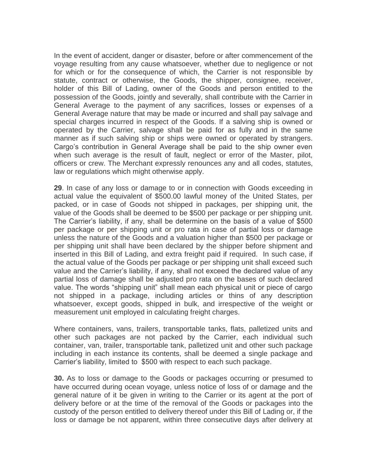In the event of accident, danger or disaster, before or after commencement of the voyage resulting from any cause whatsoever, whether due to negligence or not for which or for the consequence of which, the Carrier is not responsible by statute, contract or otherwise, the Goods, the shipper, consignee, receiver, holder of this Bill of Lading, owner of the Goods and person entitled to the possession of the Goods, jointly and severally, shall contribute with the Carrier in General Average to the payment of any sacrifices, losses or expenses of a General Average nature that may be made or incurred and shall pay salvage and special charges incurred in respect of the Goods. If a salving ship is owned or operated by the Carrier, salvage shall be paid for as fully and in the same manner as if such salving ship or ships were owned or operated by strangers. Cargo's contribution in General Average shall be paid to the ship owner even when such average is the result of fault, neglect or error of the Master, pilot, officers or crew. The Merchant expressly renounces any and all codes, statutes, law or regulations which might otherwise apply.

**29**. In case of any loss or damage to or in connection with Goods exceeding in actual value the equivalent of \$500.00 lawful money of the United States, per packed, or in case of Goods not shipped in packages, per shipping unit, the value of the Goods shall be deemed to be \$500 per package or per shipping unit. The Carrier's liability, if any, shall be determine on the basis of a value of \$500 per package or per shipping unit or pro rata in case of partial loss or damage unless the nature of the Goods and a valuation higher than \$500 per package or per shipping unit shall have been declared by the shipper before shipment and inserted in this Bill of Lading, and extra freight paid if required. In such case, if the actual value of the Goods per package or per shipping unit shall exceed such value and the Carrier's liability, if any, shall not exceed the declared value of any partial loss of damage shall be adjusted pro rata on the bases of such declared value. The words "shipping unit" shall mean each physical unit or piece of cargo not shipped in a package, including articles or thins of any description whatsoever, except goods, shipped in bulk, and irrespective of the weight or measurement unit employed in calculating freight charges.

Where containers, vans, trailers, transportable tanks, flats, palletized units and other such packages are not packed by the Carrier, each individual such container, van, trailer, transportable tank, palletized unit and other such package including in each instance its contents, shall be deemed a single package and Carrier's liability, limited to \$500 with respect to each such package.

**30.** As to loss or damage to the Goods or packages occurring or presumed to have occurred during ocean voyage, unless notice of loss of or damage and the general nature of it be given in writing to the Carrier or its agent at the port of delivery before or at the time of the removal of the Goods or packages into the custody of the person entitled to delivery thereof under this Bill of Lading or, if the loss or damage be not apparent, within three consecutive days after delivery at